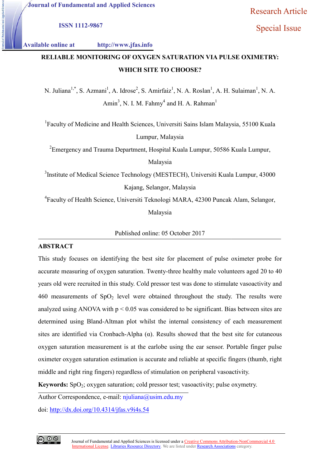Research Article

ISSN 1112-9867

## Special Issue

## Available online at http://www.jfas.info http://www.jfas.info

# RELIABLE MONITORING OF OXYGEN SATURATION VIA PULSE OXIMETRY: WHICH SITE TO CHOOSE?

N. Juliana<sup>1,\*</sup>, S. Azmani<sup>1</sup>, A. Idrose<sup>2</sup>, S. Amirfaiz<sup>1</sup>, N. A. Roslan<sup>1</sup>, A. H. Sulaiman<sup>1</sup>, N. A. Amin<sup>3</sup>, N. I. M. Fahmy<sup>4</sup> and H. A. Rahman<sup>1</sup>

<sup>1</sup>Faculty of Medicine and Health Sciences, Universiti Sains Islam Malaysia, 55100 Kuala

Lumpur, Malaysia

 $^2$ Emergency and Trauma Department, Hospital Kuala Lumpur, 50586 Kuala Lumpur,

Malaysia

<sup>3</sup>Institute of Medical Science Technology (MESTECH), Universiti Kuala Lumpur, 43000 Kajang, Selangor, Malaysia

<sup>4</sup> Faculty of Health Science, Universiti Teknologi MARA, 42300 Puncak Alam, Selangor,<br>Malaysia

Published online: 05 October 2017

## **ABSTRACT**

This study focuses on identifying the best site for placement of pulse oximeter probe for accurate measuring of oxygen saturation. Twenty-three healthy male volunteers aged 20 to 40 years old were recruited in this study. Cold pressor test was done to stimulate vasoactivity and 460 measurements of  $SpO<sub>2</sub>$  level were obtained throughout the study. The results were analyzed using ANOVA with  $p < 0.05$  was considered to be significant. Bias between sites are determined using Bland-Altman plot whilst the internal consistency of each measurement sites are identified via Cronbach-Alpha  $(\alpha)$ . Results showed that the best site for cutaneous oxygen saturation measurement is at the earlobe using the ear sensor. Portable finger pulse oximeter oxygen saturation estimation is accurate and reliable at specific fingers (thumb, right middle and right ring fingers) regardless of stimulation on peripheral vasoactivity. accurate measuring of oxygen saturation. Twenty-three healthy male volunteers aged 20 to 40 years old were recruited in this study. Cold pressor test was done to stimulate vasoactivity and 460 measurements of SpO<sub>2</sub> level

Keywords: SpO<sub>2</sub>; oxygen saturation; cold pressor test; vasoactivity; pulse oxymetry

Author Correspondence, e-mail: njuliana@usim.edu.my

doi: <u>http://dx.doi.org/10.4314/jfas.v9i4s.54</u>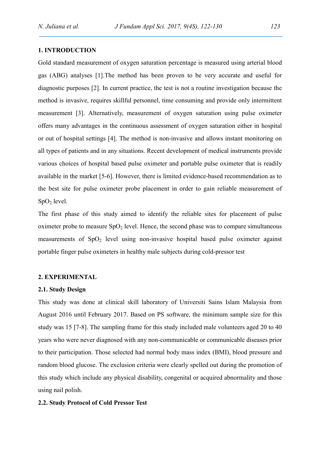## 1. INTRODUCTION

Gold standard measurement of oxygen saturation percentage is measured using arterial blood gas (ABG) analyses [1].The method has been proven to be very accurate and useful for diagnostic purposes [2]. In current practice, the test is not a routine investigation because the method is invasive, requires skillful personnel, time consuming and provide only intermittent measurement [3]. Alternatively, measurement of oxygen saturation using pulse oximeter offers many advantages in the continuous assessment of oxygen saturation either in hospital or out of hospital settings [4]. The method is non-invasive and allows instant monitoring on all types of patients and in any situations. Recent development of medical instruments provide various choices of hospital based pulse oximeter and portable pulse oximeter that is readily available in the market [5-6]. However, there is limited evidence-based recommendation as to the best site for pulse oximeter probe placement in order to gain reliable measurement of  $SpO<sub>2</sub>$  level.

The first phase of this study aimed to identify the reliable sites for placement of pulse oximeter probe to measure  $SpO<sub>2</sub>$  level. Hence, the second phase was to compare simultaneous measurements of  $SpO<sub>2</sub>$  level using non-invasive hospital based pulse oximeter against portable finger pulse oximeters in healthy male subjects during cold-pressor test

#### 2. EXPERIMENTAL

#### 2.1. Study Design

This study was done at clinical skill laboratory of Universiti Sains Islam Malaysia from August 2016 until February 2017. Based on PS software, the minimum sample size for this study was 15 [7-8]. The sampling frame for this study included male volunteers aged 20 to 40 years who were never diagnosed with any non-communicable or communicable diseases prior to their participation. Those selected had normal body mass index (BMI), blood pressure and random blood glucose. The exclusion criteria were clearly spelled out during the promotion of this study which include any physical disability, congenital or acquired abnormality and those using nail polish.

#### 2.2. Study Protocol of Cold Pressor Test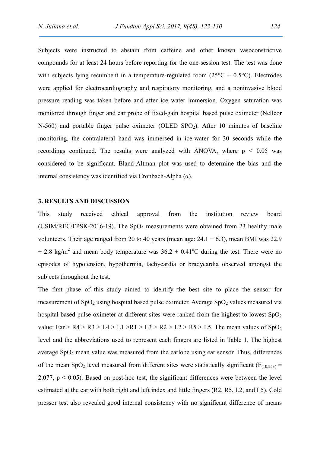Subjects were instructed to abstain from caffeine and other known vasoconstrictive compounds for at least 24 hours before reporting for the one-session test. The test was done with subjects lying recumbent in a temperature-regulated room  $(25^{\circ}C + 0.5^{\circ}C)$ . Electrodes were applied for electrocardiography and respiratory monitoring, and a noninvasive blood pressure reading was taken before and after ice water immersion. Oxygen saturation was monitored through finger and ear probe of fixed-gain hospital based pulse oximeter (Nellcor N-560) and portable finger pulse oximeter (OLED  $SPO<sub>2</sub>$ ). After 10 minutes of baseline monitoring, the contralateral hand was immersed in ice-water for 30 seconds while the recordings continued. The results were analyzed with ANOVA, where  $p \leq 0.05$  was considered to be significant. Bland-Altman plot was used to determine the bias and the internal consistency was identified via Cronbach-Alpha (α).

#### 3. RESULTS AND DISCUSSION

This study received ethical approval from the institution review board (USIM/REC/FPSK-2016-19). The  $SpO<sub>2</sub>$  measurements were obtained from 23 healthy male volunteers. Their age ranged from 20 to 40 years (mean age:  $24.1 + 6.3$ ), mean BMI was 22.9 + 2.8 kg/m<sup>2</sup> and mean body temperature was  $36.2 + 0.41^{\circ}$ C during the test. There were no episodes of hypotension, hypothermia, tachycardia or bradycardia observed amongst the subjects throughout the test.

The first phase of this study aimed to identify the best site to place the sensor for measurement of  $SpO<sub>2</sub>$  using hospital based pulse oximeter. Average  $SpO<sub>2</sub>$  values measured via hospital based pulse oximeter at different sites were ranked from the highest to lowest  $SpO<sub>2</sub>$ value:  $\text{Ear} > \text{R}4 > \text{R}3 > \text{LA} > \text{L}1 > \text{R}1 > \text{L}3 > \text{R}2 > \text{L}2 > \text{R}5 > \text{L}5$ . The mean values of  $\text{SpO}_2$ level and the abbreviations used to represent each fingers are listed in Table 1. The highest average  $SpO<sub>2</sub>$  mean value was measured from the earlobe using ear sensor. Thus, differences of the mean SpO<sub>2</sub> level measured from different sites were statistically significant ( $F_{(10,253)}$  = 2.077,  $p < 0.05$ ). Based on post-hoc test, the significant differences were between the level estimated at the ear with both right and left index and little fingers (R2, R5, L2, and L5). Cold pressor test also revealed good internal consistency with no significant difference of means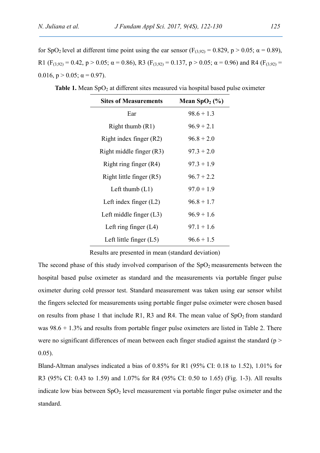for SpO<sub>2</sub> level at different time point using the ear sensor (F<sub>(3,92)</sub> = 0.829, p > 0.05;  $\alpha$  = 0.89), R1 (F<sub>(3,92)</sub> = 0.42, p > 0.05;  $\alpha$  = 0.86), R3 (F<sub>(3,92)</sub> = 0.137, p > 0.05;  $\alpha$  = 0.96) and R4 (F<sub>(3,92)</sub> = 0.016,  $p > 0.05$ ;  $\alpha = 0.97$ ).

| <b>Sites of Measurements</b> | Mean $SpO2(\%)$ |
|------------------------------|-----------------|
| Ear                          | $98.6 + 1.3$    |
| Right thumb $(R1)$           | $96.9 + 2.1$    |
| Right index finger (R2)      | $96.8 + 2.0$    |
| Right middle finger (R3)     | $97.3 + 2.0$    |
| Right ring finger (R4)       | $97.3 + 1.9$    |
| Right little finger (R5)     | $96.7 + 2.2$    |
| Left thumb $(L1)$            | $97.0 + 1.9$    |
| Left index finger $(L2)$     | $96.8 + 1.7$    |
| Left middle finger $(L3)$    | $96.9 + 1.6$    |
| Left ring finger $(L4)$      | $97.1 + 1.6$    |
| Left little finger $(L5)$    | $96.6 + 1.5$    |

Table 1. Mean  $SpO<sub>2</sub>$  at different sites measured via hospital based pulse oximeter

Results are presented in mean (standard deviation)

The second phase of this study involved comparison of the  $SpO<sub>2</sub>$  measurements between the hospital based pulse oximeter as standard and the measurements via portable finger pulse oximeter during cold pressor test. Standard measurement was taken using ear sensor whilst the fingers selected for measurements using portable finger pulse oximeter were chosen based on results from phase 1 that include R1, R3 and R4. The mean value of  $SpO<sub>2</sub>$  from standard was  $98.6 + 1.3\%$  and results from portable finger pulse oximeters are listed in Table 2. There were no significant differences of mean between each finger studied against the standard (p > 0.05).

Bland-Altman analyses indicated a bias of 0.85% for R1 (95% CI: 0.18 to 1.52), 1.01% for R3 (95% CI: 0.43 to 1.59) and 1.07% for R4 (95% CI: 0.50 to 1.65) (Fig. 1-3). All results indicate low bias between  $SpO<sub>2</sub>$  level measurement via portable finger pulse oximeter and the standard.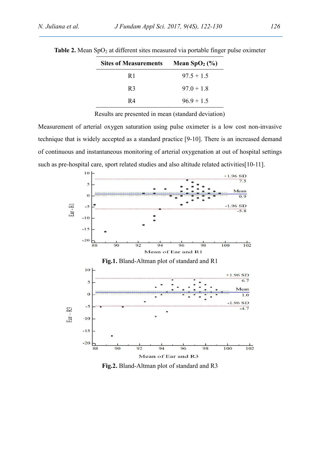| <b>Sites of Measurements</b> | Mean $SpO2(\%)$ |
|------------------------------|-----------------|
| R <sub>1</sub>               | $97.5 + 1.5$    |
| R <sub>3</sub>               | $97.0 + 1.8$    |
| R4                           | $96.9 + 1.5$    |
|                              |                 |

Table 2. Mean  $SpO<sub>2</sub>$  at different sites measured via portable finger pulse oximeter

Results are presented in mean (standard deviation)

Measurement of arterial oxygen saturation using pulse oximeter is a low cost non-invasive technique that is widely accepted as a standard practice [9-10]. There is an increased demand of continuous and instantaneous monitoring of arterial oxygenation at out of hospital settings such as pre-hospital care, sport related studies and also altitude related activities[10-11].



Fig.2. Bland-Altman plot of standard and R3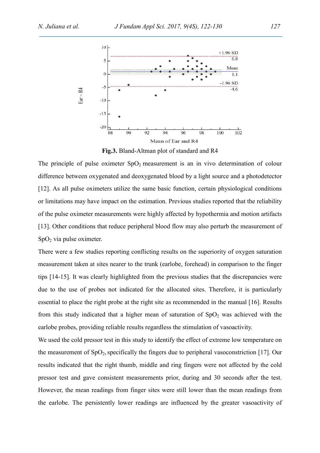

Fig.3. Bland-Altman plot of standard and R4

The principle of pulse oximeter  $SpO<sub>2</sub>$  measurement is an in vivo determination of colour difference between oxygenated and deoxygenated blood by a light source and a photodetector [12]. As all pulse oximeters utilize the same basic function, certain physiological conditions or limitations may have impact on the estimation. Previous studies reported that the reliability of the pulse oximeter measurements were highly affected by hypothermia and motion artifacts [13]. Other conditions that reduce peripheral blood flow may also perturb the measurement of  $SpO<sub>2</sub>$  via pulse oximeter.

There were a few studies reporting conflicting results on the superiority of oxygen saturation measurement taken at sites nearer to the trunk (earlobe, forehead) in comparison to the finger tips [14-15]. It was clearly highlighted from the previous studies that the discrepancies were due to the use of probes not indicated for the allocated sites. Therefore, it is particularly essential to place the right probe at the right site as recommended in the manual [16]. Results from this study indicated that a higher mean of saturation of  $SpO<sub>2</sub>$  was achieved with the earlobe probes, providing reliable results regardless the stimulation of vasoactivity.

We used the cold pressor test in this study to identify the effect of extreme low temperature on the measurement of  $SpO<sub>2</sub>$ , specifically the fingers due to peripheral vasoconstriction [17]. Our results indicated that the right thumb, middle and ring fingers were not affected by the cold pressor test and gave consistent measurements prior, during and 30 seconds after the test. However, the mean readings from finger sites were still lower than the mean readings from the earlobe. The persistently lower readings are influenced by the greater vasoactivity of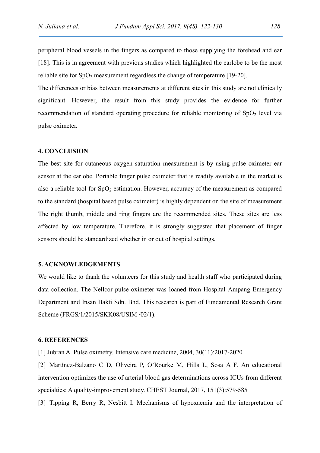peripheral blood vessels in the fingers as compared to those supplying the forehead and ear [18]. This is in agreement with previous studies which highlighted the earlobe to be the most reliable site for  $SpO<sub>2</sub>$  measurement regardless the change of temperature [19-20].

The differences or bias between measurements at different sites in this study are not clinically significant. However, the result from this study provides the evidence for further recommendation of standard operating procedure for reliable monitoring of  $SpO<sub>2</sub>$  level via pulse oximeter.

#### 4. CONCLUSION

The best site for cutaneous oxygen saturation measurement is by using pulse oximeter ear sensor at the earlobe. Portable finger pulse oximeter that is readily available in the market is also a reliable tool for  $SpO<sub>2</sub>$  estimation. However, accuracy of the measurement as compared to the standard (hospital based pulse oximeter) is highly dependent on the site of measurement. The right thumb, middle and ring fingers are the recommended sites. These sites are less affected by low temperature. Therefore, it is strongly suggested that placement of finger sensors should be standardized whether in or out of hospital settings.

#### 5. ACKNOWLEDGEMENTS

We would like to thank the volunteers for this study and health staff who participated during data collection. The Nellcor pulse oximeter was loaned from Hospital Ampang Emergency Department and Insan Bakti Sdn. Bhd. This research is part of Fundamental Research Grant Scheme (FRGS/1/2015/SKK08/USIM /02/1).

#### 6. REFERENCES

[1] Jubran A. Pulse oximetry. Intensive care medicine, 2004, 30(11):2017-2020

[2] Martínez-Balzano C D, Oliveira P, O'Rourke M, Hills L, Sosa A F. An educational intervention optimizes the use of arterial blood gas determinations across ICUs from different specialties: A quality-improvement study. CHEST Journal, 2017, 151(3):579-585

[3] Tipping R, Berry R, Nesbitt I. Mechanisms of hypoxaemia and the interpretation of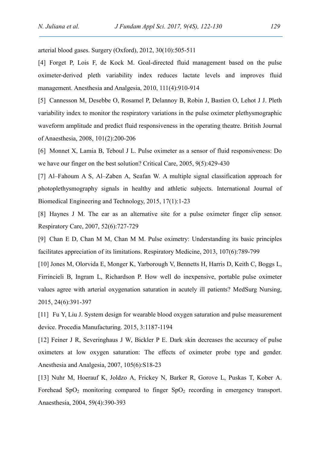arterial blood gases. Surgery (Oxford), 2012, 30(10):505-511

[4] Forget P, Lois F, de Kock M. Goal-directed fluid management based on the pulse oximeter-derived pleth variability index reduces lactate levels and improves fluid management. Anesthesia and Analgesia, 2010, 111(4):910-914

[5] Cannesson M, Desebbe O, Rosamel P, Delannoy B, Robin J, Bastien O, Lehot J J. Pleth variability index to monitor the respiratory variations in the pulse oximeter plethysmographic waveform amplitude and predict fluid responsiveness in the operating theatre. British Journal of Anaesthesia, 2008, 101(2):200-206

[6] Monnet X, Lamia B, Teboul J L. Pulse oximeter as a sensor of fluid responsiveness: Do we have our finger on the best solution? Critical Care, 2005, 9(5):429-430

[7] Al–Fahoum A S, Al–Zaben A, Seafan W. A multiple signal classification approach for photoplethysmography signals in healthy and athletic subjects. International Journal of Biomedical Engineering and Technology, 2015, 17(1):1-23

[8] Haynes J M. The ear as an alternative site for a pulse oximeter finger clip sensor. Respiratory Care, 2007, 52(6):727-729

[9] Chan E D, Chan M M, Chan M M. Pulse oximetry: Understanding its basic principles facilitates appreciation of its limitations. Respiratory Medicine, 2013, 107(6):789-799

[10] Jones M, Olorvida E, Monger K, Yarborough V, Bennetts H, Harris D, Keith C, Boggs L, Firrincieli B, Ingram L, Richardson P. How well do inexpensive, portable pulse oximeter values agree with arterial oxygenation saturation in acutely ill patients? MedSurg Nursing, 2015, 24(6):391-397

[11] Fu Y, Liu J. System design for wearable blood oxygen saturation and pulse measurement device. Procedia Manufacturing. 2015, 3:1187-1194

[12] Feiner J R, Severinghaus J W, Bickler P E. Dark skin decreases the accuracy of pulse oximeters at low oxygen saturation: The effects of oximeter probe type and gender. Anesthesia and Analgesia, 2007, 105(6):S18-23

[13] Nuhr M, Hoerauf K, Joldzo A, Frickey N, Barker R, Gorove L, Puskas T, Kober A. Forehead  $SpO<sub>2</sub>$  monitoring compared to finger  $SpO<sub>2</sub>$  recording in emergency transport. Anaesthesia, 2004, 59(4):390-393